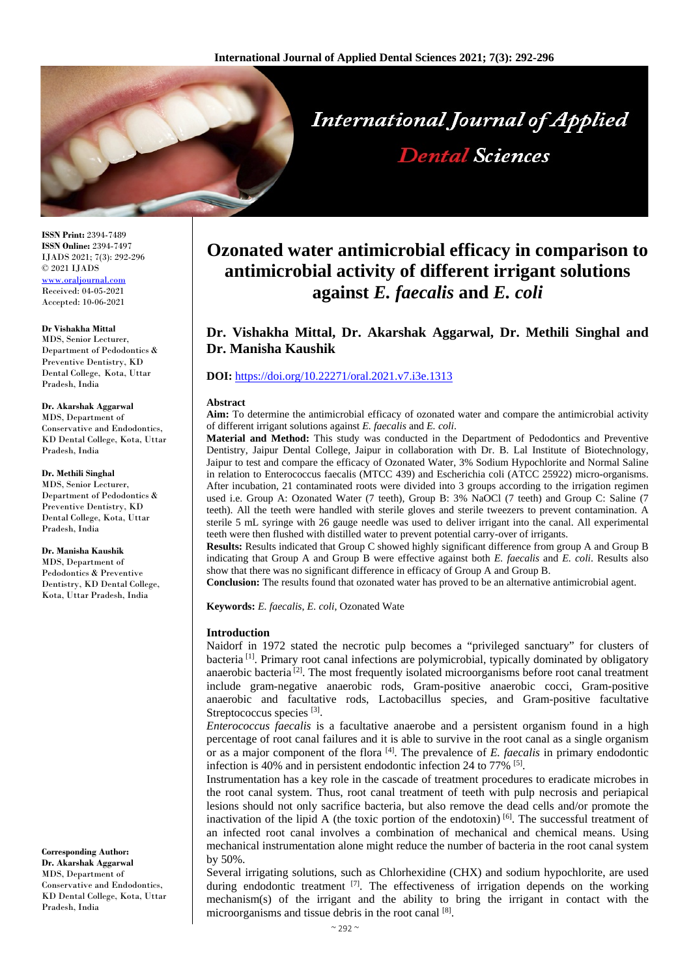

**ISSN Print:** 2394-7489 **ISSN Online:** 2394-7497 IJADS 2021; 7(3): 292-296 © 2021 IJADS [www.oraljournal.com](http://www.oraljournal.com/) Received: 04-05-2021 Accepted: 10-06-2021

#### **Dr Vishakha Mittal**

MDS, Senior Lecturer, Department of Pedodontics & Preventive Dentistry, KD Dental College, Kota, Uttar Pradesh, India

**Dr. Akarshak Aggarwal** MDS, Department of Conservative and Endodontics, KD Dental College, Kota, Uttar Pradesh, India

#### **Dr. Methili Singhal**

MDS, Senior Lecturer, Department of Pedodontics & Preventive Dentistry, KD Dental College, Kota, Uttar Pradesh, India

#### **Dr. Manisha Kaushik**

MDS, Department of Pedodontics & Preventive Dentistry, KD Dental College, Kota, Uttar Pradesh, India

**Corresponding Author: Dr. Akarshak Aggarwal** MDS, Department of Conservative and Endodontics, KD Dental College, Kota, Uttar Pradesh, India

# **Ozonated water antimicrobial efficacy in comparison to antimicrobial activity of different irrigant solutions against** *E. faecalis* **and** *E. coli*

## **Dr. Vishakha Mittal, Dr. Akarshak Aggarwal, Dr. Methili Singhal and Dr. Manisha Kaushik**

#### **DOI:** <https://doi.org/10.22271/oral.2021.v7.i3e.1313>

#### **Abstract**

**Aim:** To determine the antimicrobial efficacy of ozonated water and compare the antimicrobial activity of different irrigant solutions against *E. faecalis* and *E. coli*.

**Material and Method:** This study was conducted in the Department of Pedodontics and Preventive Dentistry, Jaipur Dental College, Jaipur in collaboration with Dr. B. Lal Institute of Biotechnology, Jaipur to test and compare the efficacy of Ozonated Water, 3% Sodium Hypochlorite and Normal Saline in relation to Enterococcus faecalis (MTCC 439) and Escherichia coli (ATCC 25922) micro-organisms. After incubation, 21 contaminated roots were divided into 3 groups according to the irrigation regimen used i.e. Group A: Ozonated Water (7 teeth), Group B: 3% NaOCl (7 teeth) and Group C: Saline (7 teeth). All the teeth were handled with sterile gloves and sterile tweezers to prevent contamination. A sterile 5 mL syringe with 26 gauge needle was used to deliver irrigant into the canal. All experimental teeth were then flushed with distilled water to prevent potential carry-over of irrigants.

**Results:** Results indicated that Group C showed highly significant difference from group A and Group B indicating that Group A and Group B were effective against both *E. faecalis* and *E. coli*. Results also show that there was no significant difference in efficacy of Group A and Group B.

**Conclusion:** The results found that ozonated water has proved to be an alternative antimicrobial agent.

**Keywords:** *E. faecalis*, *E. coli*, Ozonated Wate

#### **Introduction**

Naidorf in 1972 stated the necrotic pulp becomes a "privileged sanctuary" for clusters of bacteria<sup>[1]</sup>. Primary root canal infections are polymicrobial, typically dominated by obligatory anaerobic bacteria<sup>[2]</sup>. The most frequently isolated microorganisms before root canal treatment include gram-negative anaerobic rods, Gram-positive anaerobic cocci, Gram-positive anaerobic and facultative rods, Lactobacillus species, and Gram-positive facultative Streptococcus species [3].

*Enterococcus faecalis* is a facultative anaerobe and a persistent organism found in a high percentage of root canal failures and it is able to survive in the root canal as a single organism or as a major component of the flora <sup>[4]</sup>. The prevalence of *E. faecalis* in primary endodontic infection is 40% and in persistent endodontic infection 24 to 77% <sup>[5]</sup>.

Instrumentation has a key role in the cascade of treatment procedures to eradicate microbes in the root canal system. Thus, root canal treatment of teeth with pulp necrosis and periapical lesions should not only sacrifice bacteria, but also remove the dead cells and/or promote the inactivation of the lipid A (the toxic portion of the endotoxin) [6]. The successful treatment of an infected root canal involves a combination of mechanical and chemical means. Using mechanical instrumentation alone might reduce the number of bacteria in the root canal system by 50%.

Several irrigating solutions, such as Chlorhexidine (CHX) and sodium hypochlorite, are used during endodontic treatment  $[7]$ . The effectiveness of irrigation depends on the working mechanism(s) of the irrigant and the ability to bring the irrigant in contact with the microorganisms and tissue debris in the root canal [8].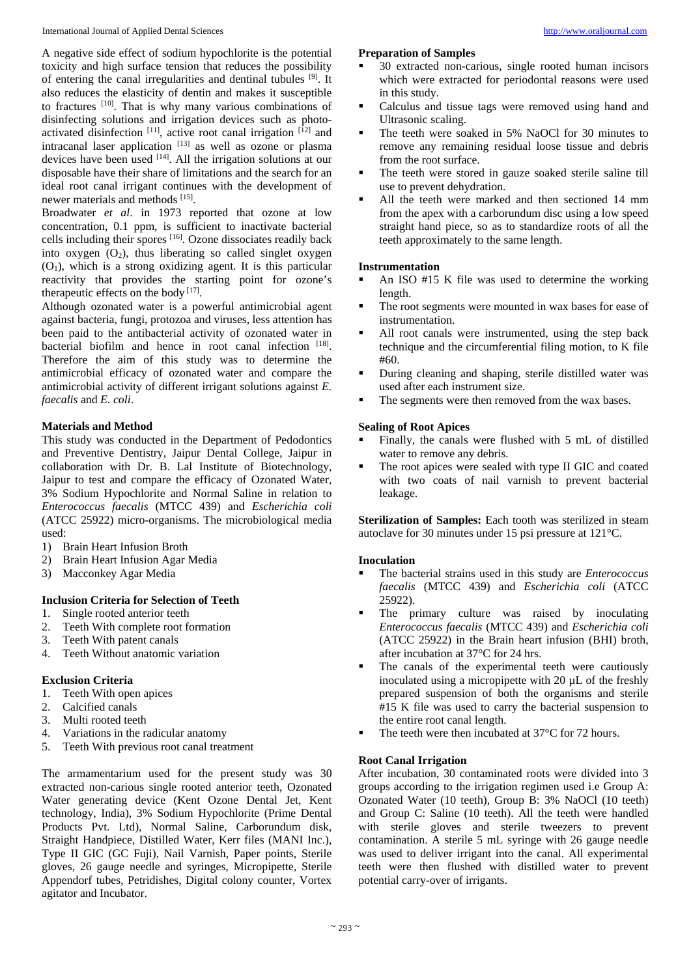A negative side effect of sodium hypochlorite is the potential toxicity and high surface tension that reduces the possibility of entering the canal irregularities and dentinal tubules <sup>[9]</sup>. It also reduces the elasticity of dentin and makes it susceptible to fractures [10]. That is why many various combinations of disinfecting solutions and irrigation devices such as photoactivated disinfection [11], active root canal irrigation [12] and intracanal laser application [13] as well as ozone or plasma devices have been used <sup>[14]</sup>. All the irrigation solutions at our disposable have their share of limitations and the search for an ideal root canal irrigant continues with the development of newer materials and methods [15].

Broadwater *et al*. in 1973 reported that ozone at low concentration, 0.1 ppm, is sufficient to inactivate bacterial cells including their spores [16] . Ozone dissociates readily back into oxygen  $(O_2)$ , thus liberating so called singlet oxygen  $(O<sub>1</sub>)$ , which is a strong oxidizing agent. It is this particular reactivity that provides the starting point for ozone's therapeutic effects on the body  $[17]$ .

Although ozonated water is a powerful antimicrobial agent against bacteria, fungi, protozoa and viruses, less attention has been paid to the antibacterial activity of ozonated water in bacterial biofilm and hence in root canal infection [18]. Therefore the aim of this study was to determine the antimicrobial efficacy of ozonated water and compare the antimicrobial activity of different irrigant solutions against *E. faecalis* and *E. coli*.

## **Materials and Method**

This study was conducted in the Department of Pedodontics and Preventive Dentistry, Jaipur Dental College, Jaipur in collaboration with Dr. B. Lal Institute of Biotechnology, Jaipur to test and compare the efficacy of Ozonated Water, 3% Sodium Hypochlorite and Normal Saline in relation to *Enterococcus faecalis* (MTCC 439) and *Escherichia coli*  (ATCC 25922) micro-organisms. The microbiological media used:

- 1) Brain Heart Infusion Broth
- 2) Brain Heart Infusion Agar Media
- 3) Macconkey Agar Media

## **Inclusion Criteria for Selection of Teeth**

- 1. Single rooted anterior teeth
- 2. Teeth With complete root formation
- 3. Teeth With patent canals
- 4. Teeth Without anatomic variation

## **Exclusion Criteria**

- 1. Teeth With open apices
- 2. Calcified canals
- 3. Multi rooted teeth
- 4. Variations in the radicular anatomy
- 5. Teeth With previous root canal treatment

The armamentarium used for the present study was 30 extracted non-carious single rooted anterior teeth, Ozonated Water generating device (Kent Ozone Dental Jet, Kent technology, India), 3% Sodium Hypochlorite (Prime Dental Products Pvt. Ltd), Normal Saline, Carborundum disk, Straight Handpiece, Distilled Water, Kerr files (MANI Inc.), Type II GIC (GC Fuji), Nail Varnish, Paper points, Sterile gloves, 26 gauge needle and syringes, Micropipette, Sterile Appendorf tubes, Petridishes, Digital colony counter, Vortex agitator and Incubator.

## **Preparation of Samples**

- 
- 30 extracted non-carious, single rooted human incisors which were extracted for periodontal reasons were used in this study.
- Calculus and tissue tags were removed using hand and Ultrasonic scaling.
- The teeth were soaked in 5% NaOCl for 30 minutes to remove any remaining residual loose tissue and debris from the root surface.
- The teeth were stored in gauze soaked sterile saline till use to prevent dehydration.
- All the teeth were marked and then sectioned 14 mm from the apex with a carborundum disc using a low speed straight hand piece, so as to standardize roots of all the teeth approximately to the same length.

## **Instrumentation**

- An ISO #15 K file was used to determine the working length.
- The root segments were mounted in wax bases for ease of instrumentation.
- All root canals were instrumented, using the step back technique and the circumferential filing motion, to K file #60.
- During cleaning and shaping, sterile distilled water was used after each instrument size.
- The segments were then removed from the wax bases.

## **Sealing of Root Apices**

- Finally, the canals were flushed with 5 mL of distilled water to remove any debris.
- The root apices were sealed with type II GIC and coated with two coats of nail varnish to prevent bacterial leakage.

**Sterilization of Samples:** Each tooth was sterilized in steam autoclave for 30 minutes under 15 psi pressure at 121°C.

### **Inoculation**

- The bacterial strains used in this study are *Enterococcus faecalis* (MTCC 439) and *Escherichia coli* (ATCC 25922).
- The primary culture was raised by inoculating *Enterococcus faecalis* (MTCC 439) and *Escherichia coli*  (ATCC 25922) in the Brain heart infusion (BHI) broth, after incubation at 37°C for 24 hrs.
- The canals of the experimental teeth were cautiously inoculated using a micropipette with 20 uL of the freshly prepared suspension of both the organisms and sterile #15 K file was used to carry the bacterial suspension to the entire root canal length.
- The teeth were then incubated at 37<sup>°</sup>C for 72 hours.

## **Root Canal Irrigation**

After incubation, 30 contaminated roots were divided into 3 groups according to the irrigation regimen used i.e Group A: Ozonated Water (10 teeth), Group B: 3% NaOCl (10 teeth) and Group C: Saline (10 teeth). All the teeth were handled with sterile gloves and sterile tweezers to prevent contamination. A sterile 5 mL syringe with 26 gauge needle was used to deliver irrigant into the canal. All experimental teeth were then flushed with distilled water to prevent potential carry-over of irrigants.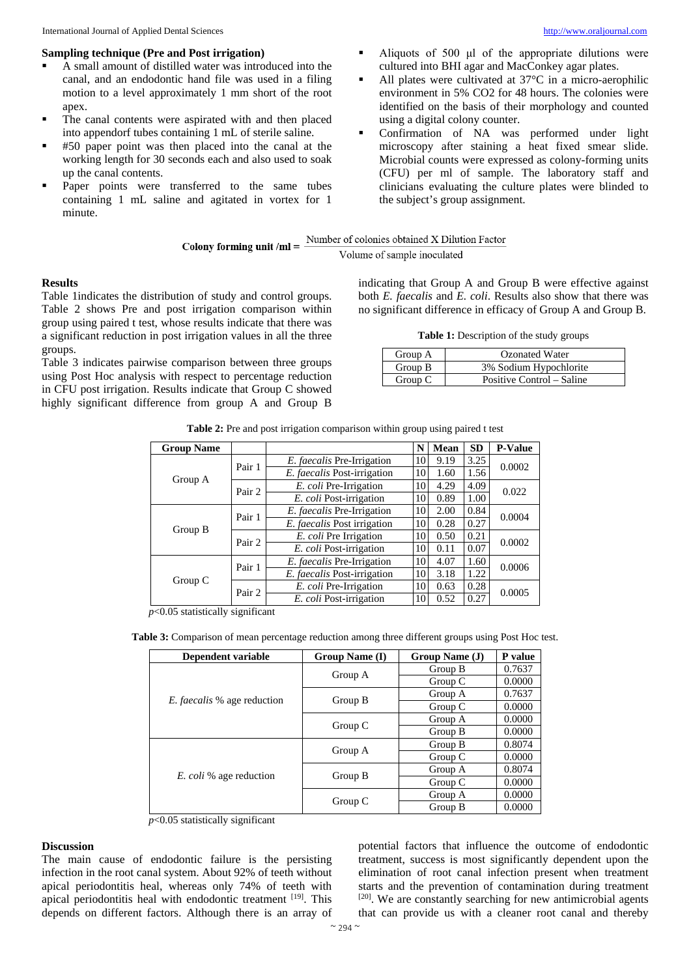### **Sampling technique (Pre and Post irrigation)**

- A small amount of distilled water was introduced into the canal, and an endodontic hand file was used in a filing motion to a level approximately 1 mm short of the root apex.
- The canal contents were aspirated with and then placed into appendorf tubes containing 1 mL of sterile saline.
- #50 paper point was then placed into the canal at the working length for 30 seconds each and also used to soak up the canal contents.
- Paper points were transferred to the same tubes containing 1 mL saline and agitated in vortex for 1 minute.
- Aliquots of 500 μl of the appropriate dilutions were cultured into BHI agar and MacConkey agar plates.
- All plates were cultivated at 37°C in a micro-aerophilic environment in 5% CO2 for 48 hours. The colonies were identified on the basis of their morphology and counted using a digital colony counter.
- Confirmation of NA was performed under light microscopy after staining a heat fixed smear slide. Microbial counts were expressed as colony-forming units (CFU) per ml of sample. The laboratory staff and clinicians evaluating the culture plates were blinded to the subject's group assignment.

|                             | Number of colonies obtained X Dilution Factor |
|-----------------------------|-----------------------------------------------|
| Colony forming unit $/ml =$ | Volume of sample inoculated                   |

#### **Results**

Table 1indicates the distribution of study and control groups. Table 2 shows Pre and post irrigation comparison within group using paired t test, whose results indicate that there was a significant reduction in post irrigation values in all the three groups.

Table 3 indicates pairwise comparison between three groups using Post Hoc analysis with respect to percentage reduction in CFU post irrigation. Results indicate that Group C showed highly significant difference from group A and Group B

indicating that Group A and Group B were effective against both *E. faecalis* and *E. coli*. Results also show that there was no significant difference in efficacy of Group A and Group B.

Table 1: Description of the study groups

| Group A | Ozonated Water            |
|---------|---------------------------|
| Group B | 3% Sodium Hypochlorite    |
| Group C | Positive Control – Saline |

|  | Table 2: Pre and post irrigation comparison within group using paired t test |  |
|--|------------------------------------------------------------------------------|--|
|  |                                                                              |  |

| <b>Group Name</b> |        |                                   | N  | Mean | <b>SD</b> | <b>P-Value</b> |
|-------------------|--------|-----------------------------------|----|------|-----------|----------------|
| Group A           | Pair 1 | <i>E. faecalis</i> Pre-Irrigation | 10 | 9.19 | 3.25      | 0.0002         |
|                   |        | E. faecalis Post-irrigation       | 10 | 1.60 | 1.56      |                |
|                   | Pair 2 | E. coli Pre-Irrigation            | 10 | 4.29 | 4.09      | 0.022          |
|                   |        | E. coli Post-irrigation           | 10 | 0.89 | 1.00      |                |
| Group B           | Pair 1 | E. faecalis Pre-Irrigation        | 10 | 2.00 | 0.84      | 0.0004         |
|                   |        | E. faecalis Post irrigation       | 10 | 0.28 | 0.27      |                |
|                   | Pair 2 | E. coli Pre Irrigation            | 10 | 0.50 | 0.21      | 0.0002         |
|                   |        | E. coli Post-irrigation           | 10 | 0.11 | 0.07      |                |
| Group C           | Pair 1 | E. faecalis Pre-Irrigation        | 10 | 4.07 | 1.60      | 0.0006         |
|                   |        | E. faecalis Post-irrigation       | 10 | 3.18 | 1.22      |                |
|                   | Pair 2 | E. coli Pre-Irrigation            | 10 | 0.63 | 0.28      | 0.0005         |
|                   |        | E. coli Post-irrigation           | 10 | 0.52 | 0.27      |                |

*p*<0.05 statistically significant

**Table 3:** Comparison of mean percentage reduction among three different groups using Post Hoc test.

| Dependent variable                 | Group Name (I) | Group Name (J) | P value |
|------------------------------------|----------------|----------------|---------|
| <i>E. faecalis</i> % age reduction | Group A        | Group B        | 0.7637  |
|                                    |                | Group C        | 0.0000  |
|                                    |                | Group A        | 0.7637  |
|                                    | Group B        | Group $C$      | 0.0000  |
|                                    |                | Group A        | 0.0000  |
|                                    | Group $C$      | Group B        | 0.0000  |
|                                    |                | Group B        | 0.8074  |
|                                    | Group A        | Group $C$      | 0.0000  |
| <i>E. coli</i> % age reduction     |                | Group A        | 0.8074  |
|                                    | Group B        | Group $C$      | 0.0000  |
|                                    |                | Group A        | 0.0000  |
|                                    | Group C        | Group B        | 0.0000  |

*p*<0.05 statistically significant

#### **Discussion**

The main cause of endodontic failure is the persisting infection in the root canal system. About 92% of teeth without apical periodontitis heal, whereas only 74% of teeth with apical periodontitis heal with endodontic treatment [19]. This depends on different factors. Although there is an array of

potential factors that influence the outcome of endodontic treatment, success is most significantly dependent upon the elimination of root canal infection present when treatment starts and the prevention of contamination during treatment [20]. We are constantly searching for new antimicrobial agents that can provide us with a cleaner root canal and thereby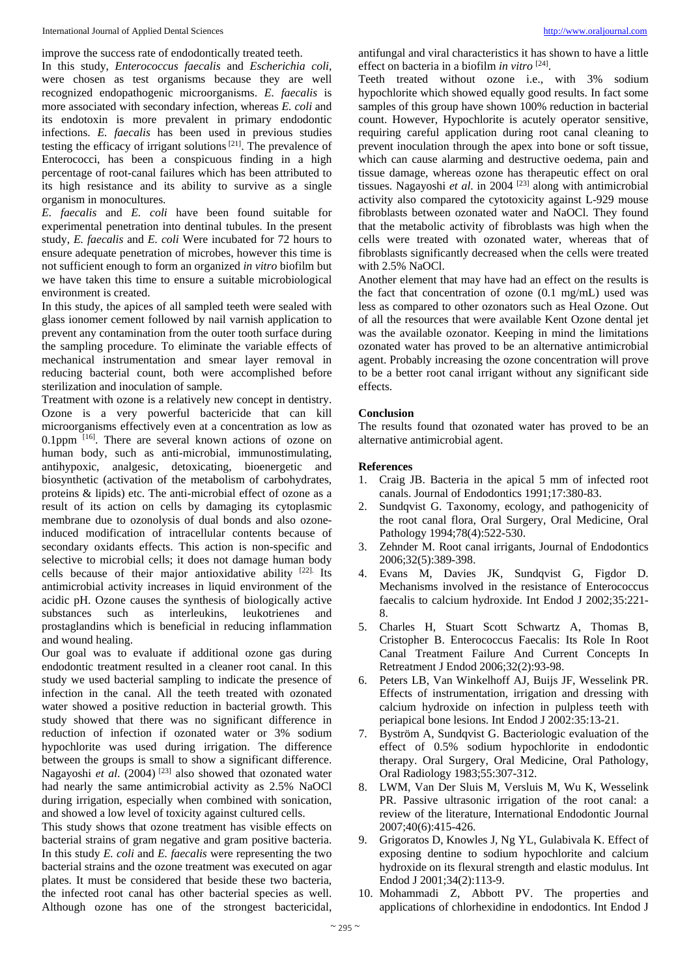improve the success rate of endodontically treated teeth.

In this study, *Enterococcus faecalis* and *Escherichia coli*, were chosen as test organisms because they are well recognized endopathogenic microorganisms. *E. faecalis* is more associated with secondary infection, whereas *E. coli* and its endotoxin is more prevalent in primary endodontic infections. *E. faecalis* has been used in previous studies testing the efficacy of irrigant solutions<sup>[21]</sup>. The prevalence of Enterococci, has been a conspicuous finding in a high percentage of root-canal failures which has been attributed to its high resistance and its ability to survive as a single organism in monocultures.

*E. faecalis* and *E. coli* have been found suitable for experimental penetration into dentinal tubules. In the present study, *E. faecalis* and *E. coli* Were incubated for 72 hours to ensure adequate penetration of microbes, however this time is not sufficient enough to form an organized *in vitro* biofilm but we have taken this time to ensure a suitable microbiological environment is created.

In this study, the apices of all sampled teeth were sealed with glass ionomer cement followed by nail varnish application to prevent any contamination from the outer tooth surface during the sampling procedure. To eliminate the variable effects of mechanical instrumentation and smear layer removal in reducing bacterial count, both were accomplished before sterilization and inoculation of sample.

Treatment with ozone is a relatively new concept in dentistry. Ozone is a very powerful bactericide that can kill microorganisms effectively even at a concentration as low as 0.1ppm  $[16]$ . There are several known actions of ozone on human body, such as anti-microbial, immunostimulating, antihypoxic, analgesic, detoxicating, bioenergetic and biosynthetic (activation of the metabolism of carbohydrates, proteins & lipids) etc. The anti-microbial effect of ozone as a result of its action on cells by damaging its cytoplasmic membrane due to ozonolysis of dual bonds and also ozoneinduced modification of intracellular contents because of secondary oxidants effects. This action is non-specific and selective to microbial cells; it does not damage human body cells because of their major antioxidative ability [22]. Its antimicrobial activity increases in liquid environment of the acidic pH. Ozone causes the synthesis of biologically active substances such as interleukins, leukotrienes and prostaglandins which is beneficial in reducing inflammation and wound healing.

Our goal was to evaluate if additional ozone gas during endodontic treatment resulted in a cleaner root canal. In this study we used bacterial sampling to indicate the presence of infection in the canal. All the teeth treated with ozonated water showed a positive reduction in bacterial growth. This study showed that there was no significant difference in reduction of infection if ozonated water or 3% sodium hypochlorite was used during irrigation. The difference between the groups is small to show a significant difference. Nagayoshi *et al.* (2004)<sup>[23]</sup> also showed that ozonated water had nearly the same antimicrobial activity as 2.5% NaOCl during irrigation, especially when combined with sonication, and showed a low level of toxicity against cultured cells.

This study shows that ozone treatment has visible effects on bacterial strains of gram negative and gram positive bacteria. In this study *E. coli* and *E. faecalis* were representing the two bacterial strains and the ozone treatment was executed on agar plates. It must be considered that beside these two bacteria, the infected root canal has other bacterial species as well. Although ozone has one of the strongest bactericidal,

antifungal and viral characteristics it has shown to have a little effect on bacteria in a biofilm *in vitro* [24].

Teeth treated without ozone i.e., with 3% sodium hypochlorite which showed equally good results. In fact some samples of this group have shown 100% reduction in bacterial count. However, Hypochlorite is acutely operator sensitive, requiring careful application during root canal cleaning to prevent inoculation through the apex into bone or soft tissue, which can cause alarming and destructive oedema, pain and tissue damage, whereas ozone has therapeutic effect on oral tissues. Nagayoshi *et al*. in 2004 [23] along with antimicrobial activity also compared the cytotoxicity against L-929 mouse fibroblasts between ozonated water and NaOCl. They found that the metabolic activity of fibroblasts was high when the cells were treated with ozonated water, whereas that of fibroblasts significantly decreased when the cells were treated with 2.5% NaOCl.

Another element that may have had an effect on the results is the fact that concentration of ozone (0.1 mg/mL) used was less as compared to other ozonators such as Heal Ozone. Out of all the resources that were available Kent Ozone dental jet was the available ozonator. Keeping in mind the limitations ozonated water has proved to be an alternative antimicrobial agent. Probably increasing the ozone concentration will prove to be a better root canal irrigant without any significant side effects.

## **Conclusion**

The results found that ozonated water has proved to be an alternative antimicrobial agent.

#### **References**

- 1. Craig JB. Bacteria in the apical 5 mm of infected root canals. Journal of Endodontics 1991;17:380-83.
- 2. Sundqvist G. Taxonomy, ecology, and pathogenicity of the root canal flora, Oral Surgery, Oral Medicine, Oral Pathology 1994;78(4):522-530.
- 3. Zehnder M. Root canal irrigants, Journal of Endodontics 2006;32(5):389-398.
- 4. Evans M, Davies JK, Sundqvist G, Figdor D. Mechanisms involved in the resistance of Enterococcus faecalis to calcium hydroxide. Int Endod J 2002;35:221- 8.
- 5. Charles H, Stuart Scott Schwartz A, Thomas B, Cristopher B. Enterococcus Faecalis: Its Role In Root Canal Treatment Failure And Current Concepts In Retreatment J Endod 2006;32(2):93-98.
- 6. Peters LB, Van Winkelhoff AJ, Buijs JF, Wesselink PR. Effects of instrumentation, irrigation and dressing with calcium hydroxide on infection in pulpless teeth with periapical bone lesions. Int Endod J 2002:35:13-21.
- 7. Byström A, Sundqvist G. Bacteriologic evaluation of the effect of 0.5% sodium hypochlorite in endodontic therapy. Oral Surgery, Oral Medicine, Oral Pathology, Oral Radiology 1983;55:307-312.
- 8. LWM, Van Der Sluis M, Versluis M, Wu K, Wesselink PR. Passive ultrasonic irrigation of the root canal: a review of the literature, International Endodontic Journal 2007;40(6):415-426.
- 9. Grigoratos D, Knowles J, Ng YL, Gulabivala K. Effect of exposing dentine to sodium hypochlorite and calcium hydroxide on its flexural strength and elastic modulus. Int Endod J 2001;34(2):113-9.
- 10. Mohammadi Z, Abbott PV. The properties and applications of chlorhexidine in endodontics. Int Endod J